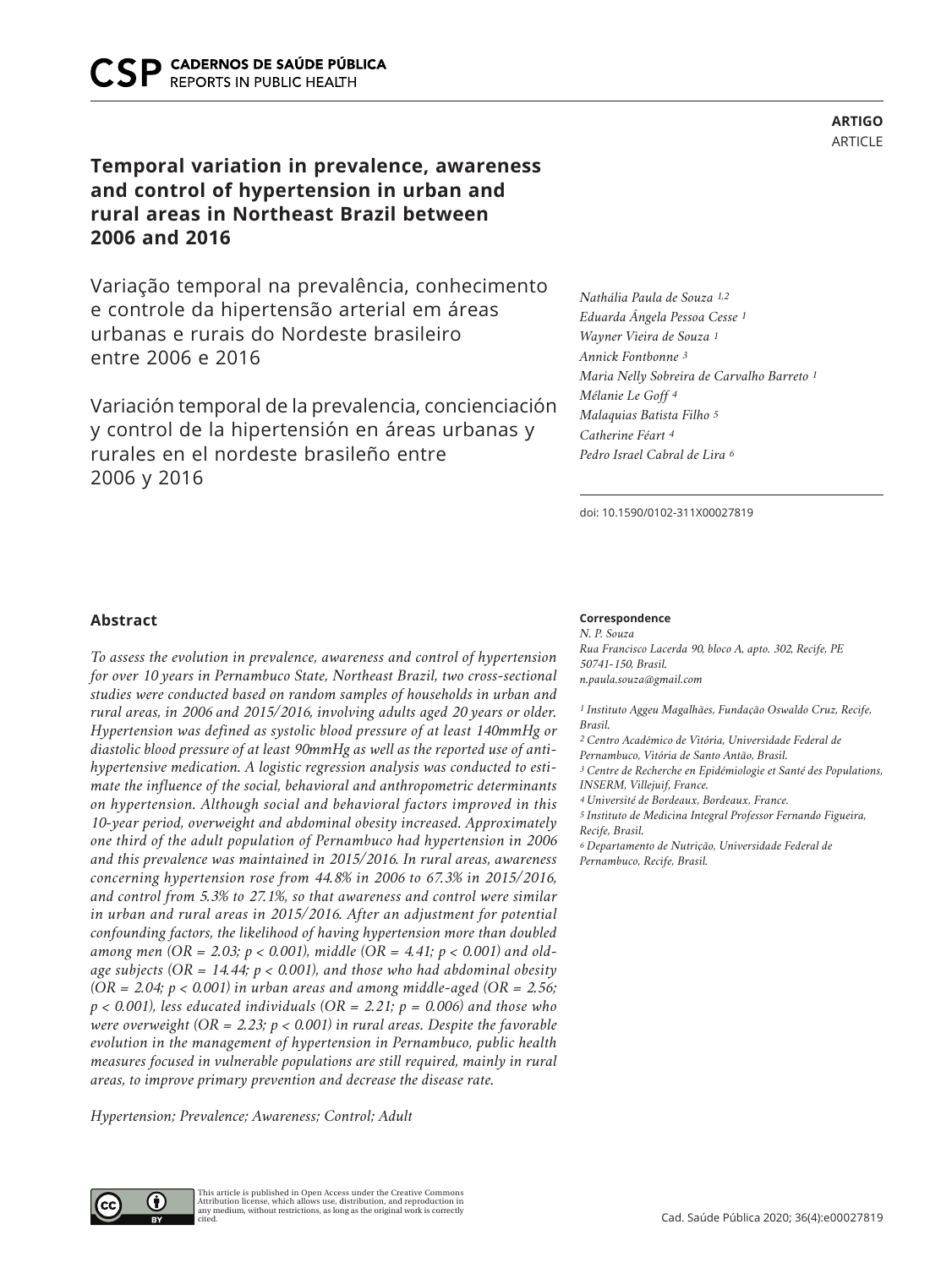# **Temporal variation in prevalence, awareness and control of hypertension in urban and rural areas in Northeast Brazil between 2006 and 2016**

Variação temporal na prevalência, conhecimento e controle da hipertensão arterial em áreas urbanas e rurais do Nordeste brasileiro entre 2006 e 2016

Variación temporal de la prevalencia, concienciación y control de la hipertensión en áreas urbanas y rurales en el nordeste brasileño entre 2006 y 2016

## **ARTIGO** ARTICLE

*Nathália Paula de Souza 1,2 Eduarda Ângela Pessoa Cesse 1 Wayner Vieira de Souza 1 Annick Fontbonne 3 Maria Nelly Sobreira de Carvalho Barreto 1 Mélanie Le Goff 4 Malaquias Batista Filho 5 Catherine Féart 4 Pedro Israel Cabral de Lira 6*

doi: 10.1590/0102-311X00027819

## **Abstract**

*To assess the evolution in prevalence, awareness and control of hypertension for over 10 years in Pernambuco State, Northeast Brazil, two cross-sectional studies were conducted based on random samples of households in urban and rural areas, in 2006 and 2015/2016, involving adults aged 20 years or older. Hypertension was defined as systolic blood pressure of at least 140mmHg or diastolic blood pressure of at least 90mmHg as well as the reported use of antihypertensive medication. A logistic regression analysis was conducted to estimate the influence of the social, behavioral and anthropometric determinants on hypertension. Although social and behavioral factors improved in this 10-year period, overweight and abdominal obesity increased. Approximately one third of the adult population of Pernambuco had hypertension in 2006 and this prevalence was maintained in 2015/2016. In rural areas, awareness concerning hypertension rose from 44.8% in 2006 to 67.3% in 2015/2016, and control from 5.3% to 27.1%, so that awareness and control were similar in urban and rural areas in 2015/2016. After an adjustment for potential confounding factors, the likelihood of having hypertension more than doubled among men (OR = 2.03; p < 0.001), middle (OR = 4.41; p < 0.001) and oldage subjects (OR = 14.44; p < 0.001), and those who had abdominal obesity (OR = 2.04; p < 0.001) in urban areas and among middle-aged (OR = 2.56;*   $p < 0.001$ ), less educated individuals (OR = 2.21;  $p = 0.006$ ) and those who *were overweight (OR = 2.23; p < 0.001) in rural areas. Despite the favorable evolution in the management of hypertension in Pernambuco, public health measures focused in vulnerable populations are still required, mainly in rural areas, to improve primary prevention and decrease the disease rate.*

*Hypertension; Prevalence; Awareness; Control; Adult*

#### **Correspondence**

*N. P. Souza Rua Francisco Lacerda 90, bloco A, apto. 302, Recife, PE 50741-150, Brasil. n.paula.souza@gmail.com*

*1 Instituto Aggeu Magalhães, Fundação Oswaldo Cruz, Recife, Brasil. 2 Centro Acadêmico de Vitória, Universidade Federal de Pernambuco, Vitória de Santo Antão, Brasil. 3 Centre de Recherche en Epidémiologie et Santé des Populations, INSERM, Villejuif, France. 4 Université de Bordeaux, Bordeaux, France. 5 Instituto de Medicina Integral Professor Fernando Figueira, Recife, Brasil. 6 Departamento de Nutrição, Universidade Federal de Pernambuco, Recife, Brasil.*

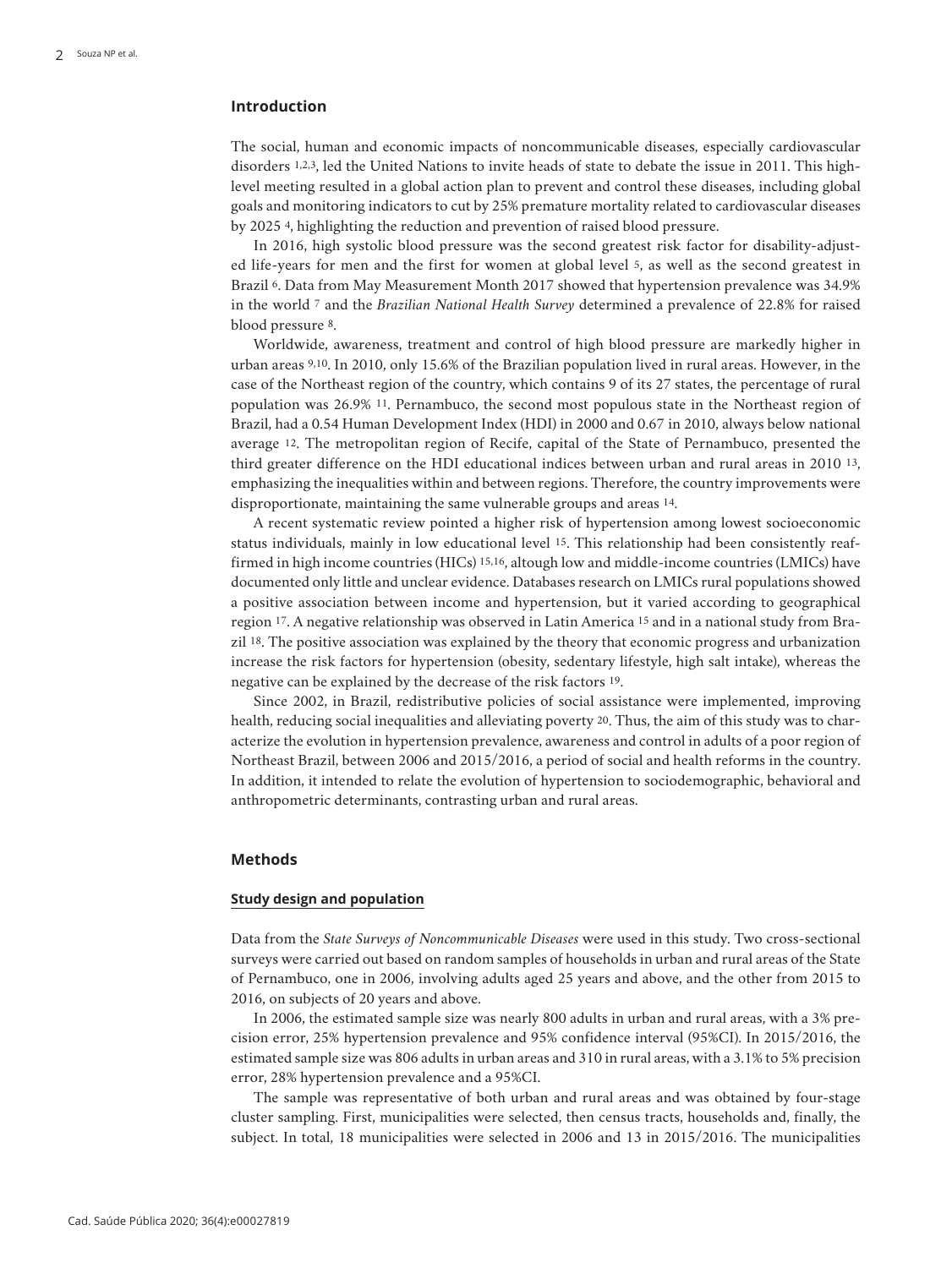## **Introduction**

The social, human and economic impacts of noncommunicable diseases, especially cardiovascular disorders 1,2,3, led the United Nations to invite heads of state to debate the issue in 2011. This highlevel meeting resulted in a global action plan to prevent and control these diseases, including global goals and monitoring indicators to cut by 25% premature mortality related to cardiovascular diseases by 2025 4, highlighting the reduction and prevention of raised blood pressure.

In 2016, high systolic blood pressure was the second greatest risk factor for disability-adjusted life-years for men and the first for women at global level 5, as well as the second greatest in Brazil 6. Data from May Measurement Month 2017 showed that hypertension prevalence was 34.9% in the world 7 and the *Brazilian National Health Survey* determined a prevalence of 22.8% for raised blood pressure 8.

Worldwide, awareness, treatment and control of high blood pressure are markedly higher in urban areas 9,10. In 2010, only 15.6% of the Brazilian population lived in rural areas. However, in the case of the Northeast region of the country, which contains 9 of its 27 states, the percentage of rural population was 26.9% 11. Pernambuco, the second most populous state in the Northeast region of Brazil, had a 0.54 Human Development Index (HDI) in 2000 and 0.67 in 2010, always below national average 12. The metropolitan region of Recife, capital of the State of Pernambuco, presented the third greater difference on the HDI educational indices between urban and rural areas in 2010 13, emphasizing the inequalities within and between regions. Therefore, the country improvements were disproportionate, maintaining the same vulnerable groups and areas 14.

A recent systematic review pointed a higher risk of hypertension among lowest socioeconomic status individuals, mainly in low educational level 15. This relationship had been consistently reaffirmed in high income countries (HICs) 15,16, altough low and middle-income countries (LMICs) have documented only little and unclear evidence. Databases research on LMICs rural populations showed a positive association between income and hypertension, but it varied according to geographical region 17. A negative relationship was observed in Latin America 15 and in a national study from Brazil 18. The positive association was explained by the theory that economic progress and urbanization increase the risk factors for hypertension (obesity, sedentary lifestyle, high salt intake), whereas the negative can be explained by the decrease of the risk factors 19.

Since 2002, in Brazil, redistributive policies of social assistance were implemented, improving health, reducing social inequalities and alleviating poverty 20. Thus, the aim of this study was to characterize the evolution in hypertension prevalence, awareness and control in adults of a poor region of Northeast Brazil, between 2006 and 2015/2016, a period of social and health reforms in the country. In addition, it intended to relate the evolution of hypertension to sociodemographic, behavioral and anthropometric determinants, contrasting urban and rural areas.

## **Methods**

#### **Study design and population**

Data from the *State Surveys of Noncommunicable Diseases* were used in this study. Two cross-sectional surveys were carried out based on random samples of households in urban and rural areas of the State of Pernambuco, one in 2006, involving adults aged 25 years and above, and the other from 2015 to 2016, on subjects of 20 years and above.

In 2006, the estimated sample size was nearly 800 adults in urban and rural areas, with a 3% precision error, 25% hypertension prevalence and 95% confidence interval (95%CI). In 2015/2016, the estimated sample size was 806 adults in urban areas and 310 in rural areas, with a 3.1% to 5% precision error, 28% hypertension prevalence and a 95%CI.

The sample was representative of both urban and rural areas and was obtained by four-stage cluster sampling. First, municipalities were selected, then census tracts, households and, finally, the subject. In total, 18 municipalities were selected in 2006 and 13 in 2015/2016. The municipalities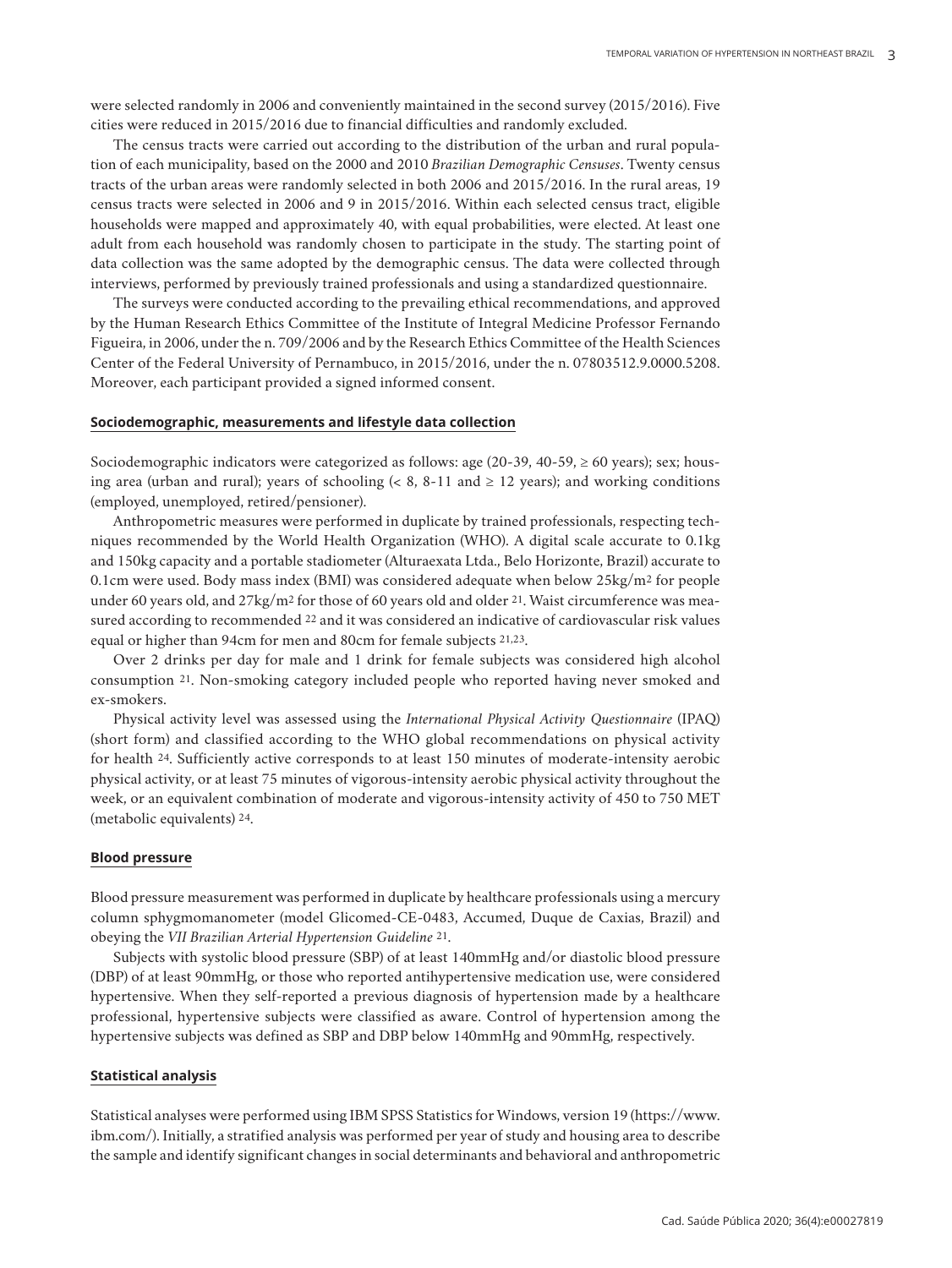were selected randomly in 2006 and conveniently maintained in the second survey (2015/2016). Five cities were reduced in 2015/2016 due to financial difficulties and randomly excluded.

The census tracts were carried out according to the distribution of the urban and rural population of each municipality, based on the 2000 and 2010 *Brazilian Demographic Censuses*. Twenty census tracts of the urban areas were randomly selected in both 2006 and 2015/2016. In the rural areas, 19 census tracts were selected in 2006 and 9 in 2015/2016. Within each selected census tract, eligible households were mapped and approximately 40, with equal probabilities, were elected. At least one adult from each household was randomly chosen to participate in the study. The starting point of data collection was the same adopted by the demographic census. The data were collected through interviews, performed by previously trained professionals and using a standardized questionnaire.

The surveys were conducted according to the prevailing ethical recommendations, and approved by the Human Research Ethics Committee of the Institute of Integral Medicine Professor Fernando Figueira, in 2006, under the n. 709/2006 and by the Research Ethics Committee of the Health Sciences Center of the Federal University of Pernambuco, in 2015/2016, under the n. 07803512.9.0000.5208. Moreover, each participant provided a signed informed consent.

## **Sociodemographic, measurements and lifestyle data collection**

Sociodemographic indicators were categorized as follows: age  $(20-39, 40-59) \ge 60$  years); sex; housing area (urban and rural); years of schooling ( $\lt$  8, 8-11 and  $\geq$  12 years); and working conditions (employed, unemployed, retired/pensioner).

Anthropometric measures were performed in duplicate by trained professionals, respecting techniques recommended by the World Health Organization (WHO). A digital scale accurate to 0.1kg and 150kg capacity and a portable stadiometer (Alturaexata Ltda., Belo Horizonte, Brazil) accurate to 0.1cm were used. Body mass index (BMI) was considered adequate when below 25kg/m2 for people under 60 years old, and 27kg/m<sup>2</sup> for those of 60 years old and older <sup>21</sup>. Waist circumference was measured according to recommended 22 and it was considered an indicative of cardiovascular risk values equal or higher than 94cm for men and 80cm for female subjects 21,23.

Over 2 drinks per day for male and 1 drink for female subjects was considered high alcohol consumption 21. Non-smoking category included people who reported having never smoked and ex-smokers.

Physical activity level was assessed using the *International Physical Activity Questionnaire* (IPAQ) (short form) and classified according to the WHO global recommendations on physical activity for health 24. Sufficiently active corresponds to at least 150 minutes of moderate-intensity aerobic physical activity, or at least 75 minutes of vigorous-intensity aerobic physical activity throughout the week, or an equivalent combination of moderate and vigorous-intensity activity of 450 to 750 MET (metabolic equivalents) 24.

## **Blood pressure**

Blood pressure measurement was performed in duplicate by healthcare professionals using a mercury column sphygmomanometer (model Glicomed-CE-0483, Accumed, Duque de Caxias, Brazil) and obeying the *VII Brazilian Arterial Hypertension Guideline* 21.

Subjects with systolic blood pressure (SBP) of at least 140mmHg and/or diastolic blood pressure (DBP) of at least 90mmHg, or those who reported antihypertensive medication use, were considered hypertensive. When they self-reported a previous diagnosis of hypertension made by a healthcare professional, hypertensive subjects were classified as aware. Control of hypertension among the hypertensive subjects was defined as SBP and DBP below 140mmHg and 90mmHg, respectively.

#### **Statistical analysis**

Statistical analyses were performed using IBM SPSS Statistics for Windows, version 19 (https://www. ibm.com/). Initially, a stratified analysis was performed per year of study and housing area to describe the sample and identify significant changes in social determinants and behavioral and anthropometric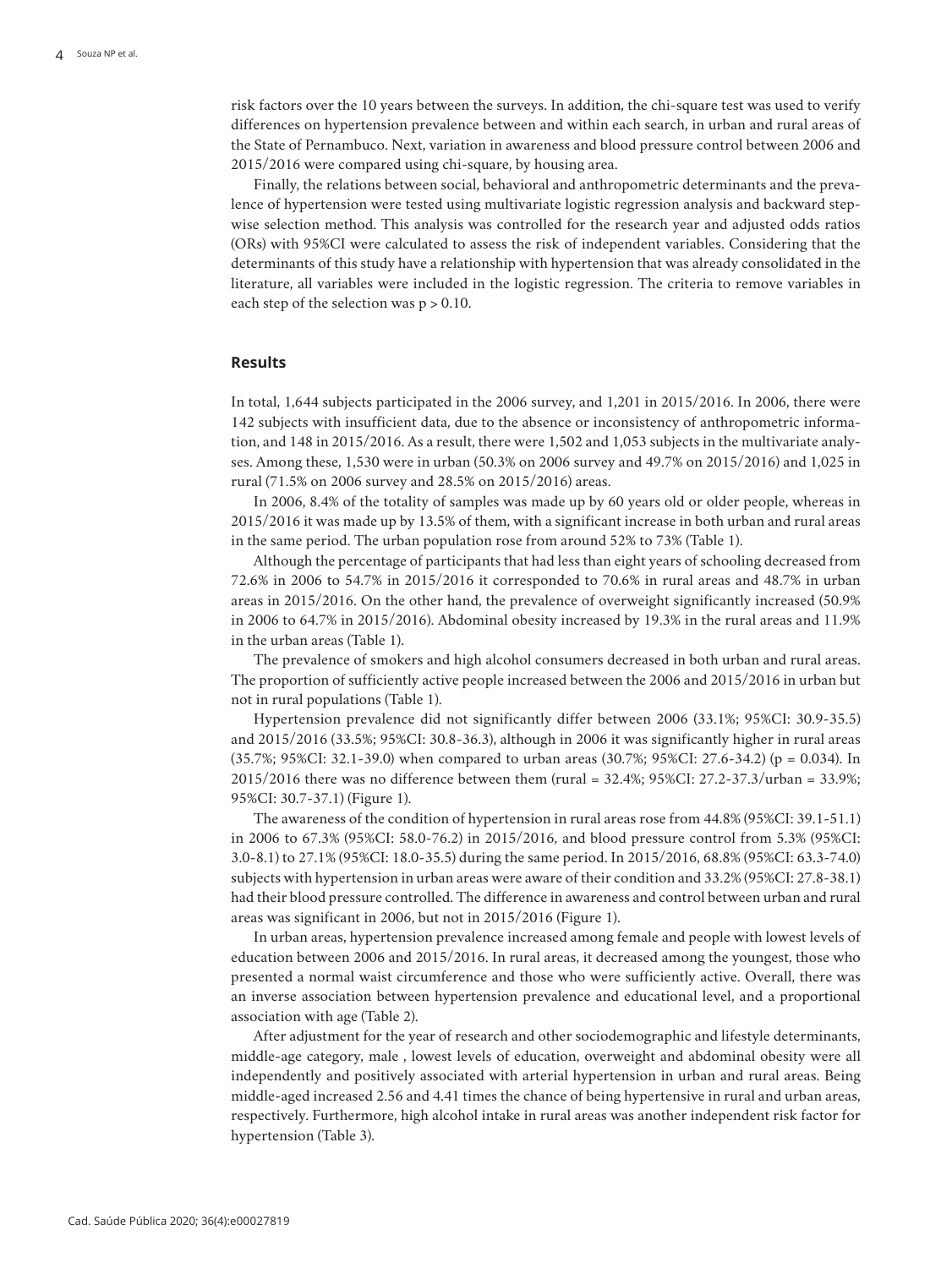risk factors over the 10 years between the surveys. In addition, the chi-square test was used to verify differences on hypertension prevalence between and within each search, in urban and rural areas of the State of Pernambuco. Next, variation in awareness and blood pressure control between 2006 and 2015/2016 were compared using chi-square, by housing area.

Finally, the relations between social, behavioral and anthropometric determinants and the prevalence of hypertension were tested using multivariate logistic regression analysis and backward stepwise selection method. This analysis was controlled for the research year and adjusted odds ratios (ORs) with 95%CI were calculated to assess the risk of independent variables. Considering that the determinants of this study have a relationship with hypertension that was already consolidated in the literature, all variables were included in the logistic regression. The criteria to remove variables in each step of the selection was  $p > 0.10$ .

## **Results**

In total, 1,644 subjects participated in the 2006 survey, and 1,201 in 2015/2016. In 2006, there were 142 subjects with insufficient data, due to the absence or inconsistency of anthropometric information, and 148 in 2015/2016. As a result, there were 1,502 and 1,053 subjects in the multivariate analyses. Among these, 1,530 were in urban (50.3% on 2006 survey and 49.7% on 2015/2016) and 1,025 in rural (71.5% on 2006 survey and 28.5% on 2015/2016) areas.

In 2006, 8.4% of the totality of samples was made up by 60 years old or older people, whereas in 2015/2016 it was made up by 13.5% of them, with a significant increase in both urban and rural areas in the same period. The urban population rose from around 52% to 73% (Table 1).

Although the percentage of participants that had less than eight years of schooling decreased from 72.6% in 2006 to 54.7% in 2015/2016 it corresponded to 70.6% in rural areas and 48.7% in urban areas in 2015/2016. On the other hand, the prevalence of overweight significantly increased (50.9% in 2006 to 64.7% in 2015/2016). Abdominal obesity increased by 19.3% in the rural areas and 11.9% in the urban areas (Table 1).

The prevalence of smokers and high alcohol consumers decreased in both urban and rural areas. The proportion of sufficiently active people increased between the 2006 and 2015/2016 in urban but not in rural populations (Table 1).

Hypertension prevalence did not significantly differ between 2006 (33.1%; 95%CI: 30.9-35.5) and 2015/2016 (33.5%; 95%CI: 30.8-36.3), although in 2006 it was significantly higher in rural areas (35.7%; 95%CI: 32.1-39.0) when compared to urban areas (30.7%; 95%CI: 27.6-34.2) (p = 0.034). In 2015/2016 there was no difference between them (rural = 32.4%; 95%CI: 27.2-37.3/urban = 33.9%; 95%CI: 30.7-37.1) (Figure 1).

The awareness of the condition of hypertension in rural areas rose from 44.8% (95%CI: 39.1-51.1) in 2006 to 67.3% (95%CI: 58.0-76.2) in 2015/2016, and blood pressure control from 5.3% (95%CI: 3.0-8.1) to 27.1% (95%CI: 18.0-35.5) during the same period. In 2015/2016, 68.8% (95%CI: 63.3-74.0) subjects with hypertension in urban areas were aware of their condition and 33.2% (95%CI: 27.8-38.1) had their blood pressure controlled. The difference in awareness and control between urban and rural areas was significant in 2006, but not in 2015/2016 (Figure 1).

In urban areas, hypertension prevalence increased among female and people with lowest levels of education between 2006 and 2015/2016. In rural areas, it decreased among the youngest, those who presented a normal waist circumference and those who were sufficiently active. Overall, there was an inverse association between hypertension prevalence and educational level, and a proportional association with age (Table 2).

After adjustment for the year of research and other sociodemographic and lifestyle determinants, middle-age category, male , lowest levels of education, overweight and abdominal obesity were all independently and positively associated with arterial hypertension in urban and rural areas. Being middle-aged increased 2.56 and 4.41 times the chance of being hypertensive in rural and urban areas, respectively. Furthermore, high alcohol intake in rural areas was another independent risk factor for hypertension (Table 3).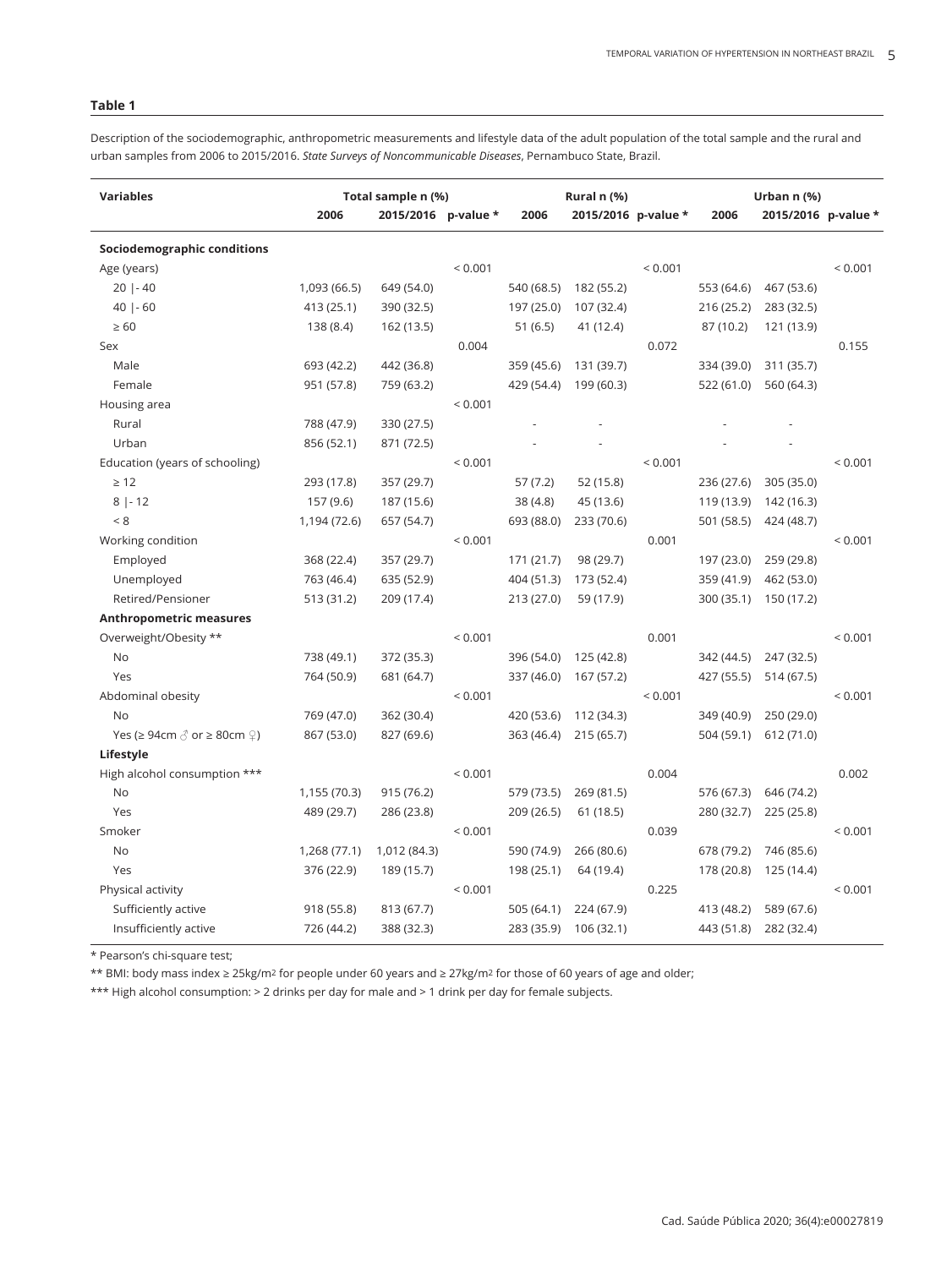## **Table 1**

Description of the sociodemographic, anthropometric measurements and lifestyle data of the adult population of the total sample and the rural and urban samples from 2006 to 2015/2016. *State Surveys of Noncommunicable Diseases*, Pernambuco State, Brazil.

| <b>Variables</b>                                                 | Total sample n (%) |                     |              | Rural n (%) |                     | Urban n (%) |            |                     |              |
|------------------------------------------------------------------|--------------------|---------------------|--------------|-------------|---------------------|-------------|------------|---------------------|--------------|
|                                                                  | 2006               | 2015/2016 p-value * |              | 2006        | 2015/2016 p-value * |             | 2006       | 2015/2016 p-value * |              |
| Sociodemographic conditions                                      |                    |                     |              |             |                     |             |            |                     |              |
| Age (years)                                                      |                    |                     | < 0.001      |             |                     | ${}< 0.001$ |            |                     | < 0.001      |
| $20$   - 40                                                      | 1,093 (66.5)       | 649 (54.0)          |              | 540 (68.5)  | 182 (55.2)          |             | 553 (64.6) | 467 (53.6)          |              |
| $40$   - 60                                                      | 413 (25.1)         | 390 (32.5)          |              | 197 (25.0)  | 107 (32.4)          |             | 216 (25.2) | 283 (32.5)          |              |
| $\geq 60$                                                        | 138 (8.4)          | 162 (13.5)          |              | 51(6.5)     | 41 (12.4)           |             | 87 (10.2)  | 121 (13.9)          |              |
| Sex                                                              |                    |                     | 0.004        |             |                     | 0.072       |            |                     | 0.155        |
| Male                                                             | 693 (42.2)         | 442 (36.8)          |              | 359 (45.6)  | 131 (39.7)          |             | 334 (39.0) | 311 (35.7)          |              |
| Female                                                           | 951 (57.8)         | 759 (63.2)          |              | 429 (54.4)  | 199 (60.3)          |             | 522 (61.0) | 560 (64.3)          |              |
| Housing area                                                     |                    |                     | < 0.001      |             |                     |             |            |                     |              |
| Rural                                                            | 788 (47.9)         | 330 (27.5)          |              |             |                     |             |            |                     |              |
| Urban                                                            | 856 (52.1)         | 871 (72.5)          |              |             |                     |             |            |                     |              |
| Education (years of schooling)                                   |                    |                     | < 0.001      |             |                     | < 0.001     |            |                     | < 0.001      |
| $\geq 12$                                                        | 293 (17.8)         | 357 (29.7)          |              | 57(7.2)     | 52 (15.8)           |             | 236 (27.6) | 305 (35.0)          |              |
| $8 -12$                                                          | 157 (9.6)          | 187 (15.6)          |              | 38 (4.8)    | 45 (13.6)           |             | 119 (13.9) | 142 (16.3)          |              |
| < 8                                                              | 1,194 (72.6)       | 657 (54.7)          |              | 693 (88.0)  | 233 (70.6)          |             | 501 (58.5) | 424 (48.7)          |              |
| Working condition                                                |                    |                     | < 0.001      |             |                     | 0.001       |            |                     | < 0.001      |
| Employed                                                         | 368 (22.4)         | 357 (29.7)          |              | 171 (21.7)  | 98 (29.7)           |             | 197 (23.0) | 259 (29.8)          |              |
| Unemployed                                                       | 763 (46.4)         | 635 (52.9)          |              | 404 (51.3)  | 173 (52.4)          |             | 359 (41.9) | 462 (53.0)          |              |
| Retired/Pensioner                                                | 513 (31.2)         | 209 (17.4)          |              | 213 (27.0)  | 59 (17.9)           |             | 300 (35.1) | 150 (17.2)          |              |
| <b>Anthropometric measures</b>                                   |                    |                     |              |             |                     |             |            |                     |              |
| Overweight/Obesity **                                            |                    |                     | ${}_{0.001}$ |             |                     | 0.001       |            |                     | ${}_{0.001}$ |
| <b>No</b>                                                        | 738 (49.1)         | 372 (35.3)          |              | 396 (54.0)  | 125 (42.8)          |             | 342 (44.5) | 247 (32.5)          |              |
| Yes                                                              | 764 (50.9)         | 681 (64.7)          |              | 337 (46.0)  | 167 (57.2)          |             | 427 (55.5) | 514 (67.5)          |              |
| Abdominal obesity                                                |                    |                     | < 0.001      |             |                     | < 0.001     |            |                     | ${}_{0.001}$ |
| No                                                               | 769 (47.0)         | 362 (30.4)          |              | 420 (53.6)  | 112 (34.3)          |             | 349 (40.9) | 250 (29.0)          |              |
| Yes ( $\geq$ 94cm $\circledcirc$ or $\geq$ 80cm $\circledcirc$ ) | 867 (53.0)         | 827 (69.6)          |              | 363 (46.4)  | 215 (65.7)          |             | 504 (59.1) | 612 (71.0)          |              |
| Lifestyle                                                        |                    |                     |              |             |                     |             |            |                     |              |
| High alcohol consumption ***                                     |                    |                     | < 0.001      |             |                     | 0.004       |            |                     | 0.002        |
| No                                                               | 1,155 (70.3)       | 915 (76.2)          |              | 579 (73.5)  | 269 (81.5)          |             | 576 (67.3) | 646 (74.2)          |              |
| Yes                                                              | 489 (29.7)         | 286 (23.8)          |              | 209 (26.5)  | 61(18.5)            |             | 280 (32.7) | 225 (25.8)          |              |
| Smoker                                                           |                    |                     | < 0.001      |             |                     | 0.039       |            |                     | ${}_{0.001}$ |
| No                                                               | 1,268 (77.1)       | 1,012 (84.3)        |              | 590 (74.9)  | 266 (80.6)          |             | 678 (79.2) | 746 (85.6)          |              |
| Yes                                                              | 376 (22.9)         | 189 (15.7)          |              | 198 (25.1)  | 64 (19.4)           |             | 178 (20.8) | 125 (14.4)          |              |
| Physical activity                                                |                    |                     | < 0.001      |             |                     | 0.225       |            |                     | < 0.001      |
| Sufficiently active                                              | 918 (55.8)         | 813 (67.7)          |              | 505 (64.1)  | 224 (67.9)          |             | 413 (48.2) | 589 (67.6)          |              |
| Insufficiently active                                            | 726 (44.2)         | 388 (32.3)          |              | 283 (35.9)  | 106 (32.1)          |             | 443 (51.8) | 282 (32.4)          |              |

\* Pearson's chi-square test;

\*\* BMI: body mass index ≥ 25kg/m2 for people under 60 years and ≥ 27kg/m2 for those of 60 years of age and older;

\*\*\* High alcohol consumption: > 2 drinks per day for male and > 1 drink per day for female subjects.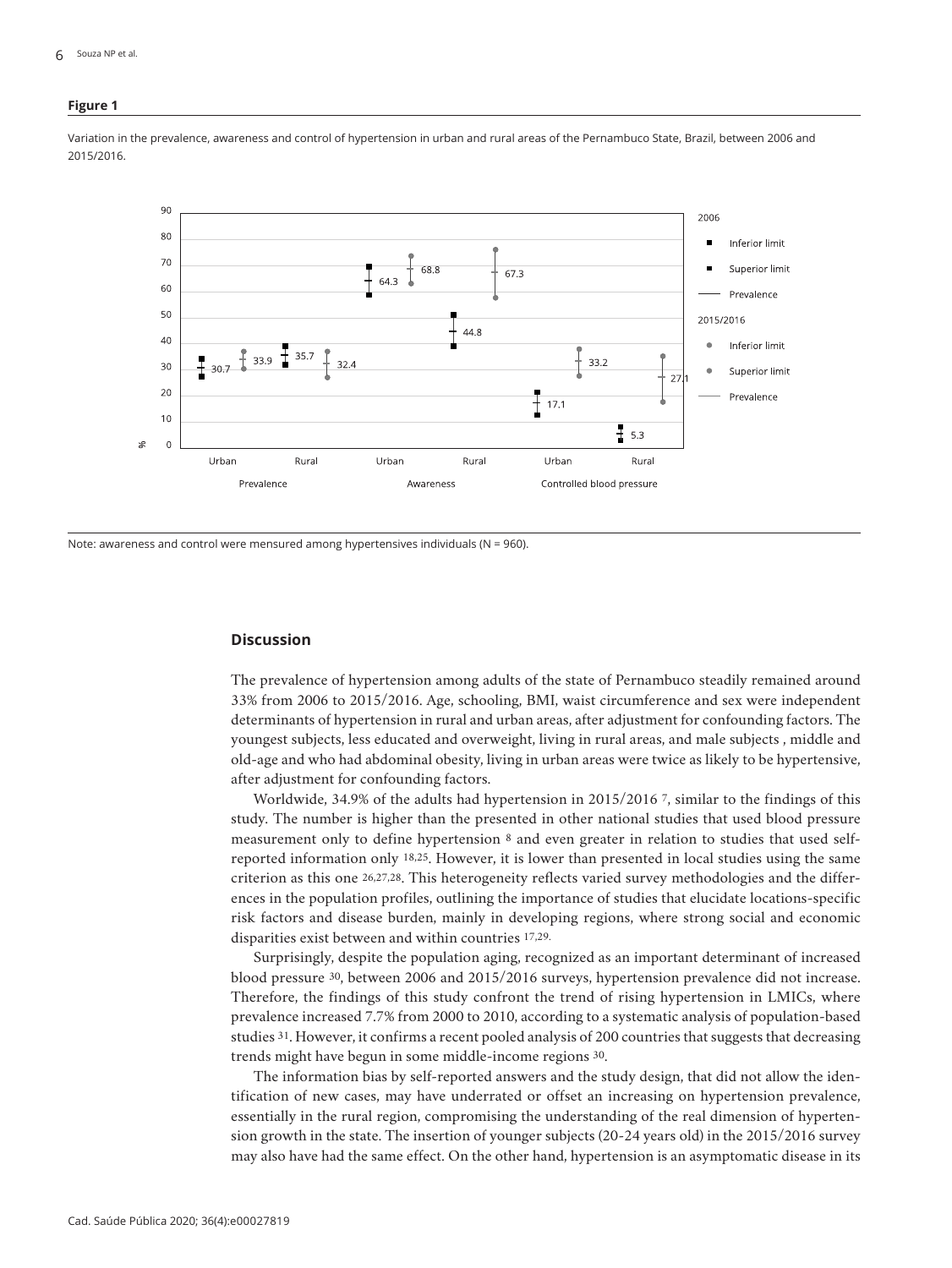#### **Figure 1**

Variation in the prevalence, awareness and control of hypertension in urban and rural areas of the Pernambuco State, Brazil, between 2006 and 2015/2016.



Note: awareness and control were mensured among hypertensives individuals (N = 960).

## **Discussion**

The prevalence of hypertension among adults of the state of Pernambuco steadily remained around 33% from 2006 to 2015/2016. Age, schooling, BMI, waist circumference and sex were independent determinants of hypertension in rural and urban areas, after adjustment for confounding factors. The youngest subjects, less educated and overweight, living in rural areas, and male subjects , middle and old-age and who had abdominal obesity, living in urban areas were twice as likely to be hypertensive, after adjustment for confounding factors.

Worldwide, 34.9% of the adults had hypertension in 2015/2016 7, similar to the findings of this study. The number is higher than the presented in other national studies that used blood pressure measurement only to define hypertension 8 and even greater in relation to studies that used selfreported information only 18,25. However, it is lower than presented in local studies using the same criterion as this one 26,27,28. This heterogeneity reflects varied survey methodologies and the differences in the population profiles, outlining the importance of studies that elucidate locations-specific risk factors and disease burden, mainly in developing regions, where strong social and economic disparities exist between and within countries 17,29.

Surprisingly, despite the population aging, recognized as an important determinant of increased blood pressure 30, between 2006 and 2015/2016 surveys, hypertension prevalence did not increase. Therefore, the findings of this study confront the trend of rising hypertension in LMICs, where prevalence increased 7.7% from 2000 to 2010, according to a systematic analysis of population-based studies 31. However, it confirms a recent pooled analysis of 200 countries that suggests that decreasing trends might have begun in some middle-income regions 30.

The information bias by self-reported answers and the study design, that did not allow the identification of new cases, may have underrated or offset an increasing on hypertension prevalence, essentially in the rural region, compromising the understanding of the real dimension of hypertension growth in the state. The insertion of younger subjects (20-24 years old) in the 2015/2016 survey may also have had the same effect. On the other hand, hypertension is an asymptomatic disease in its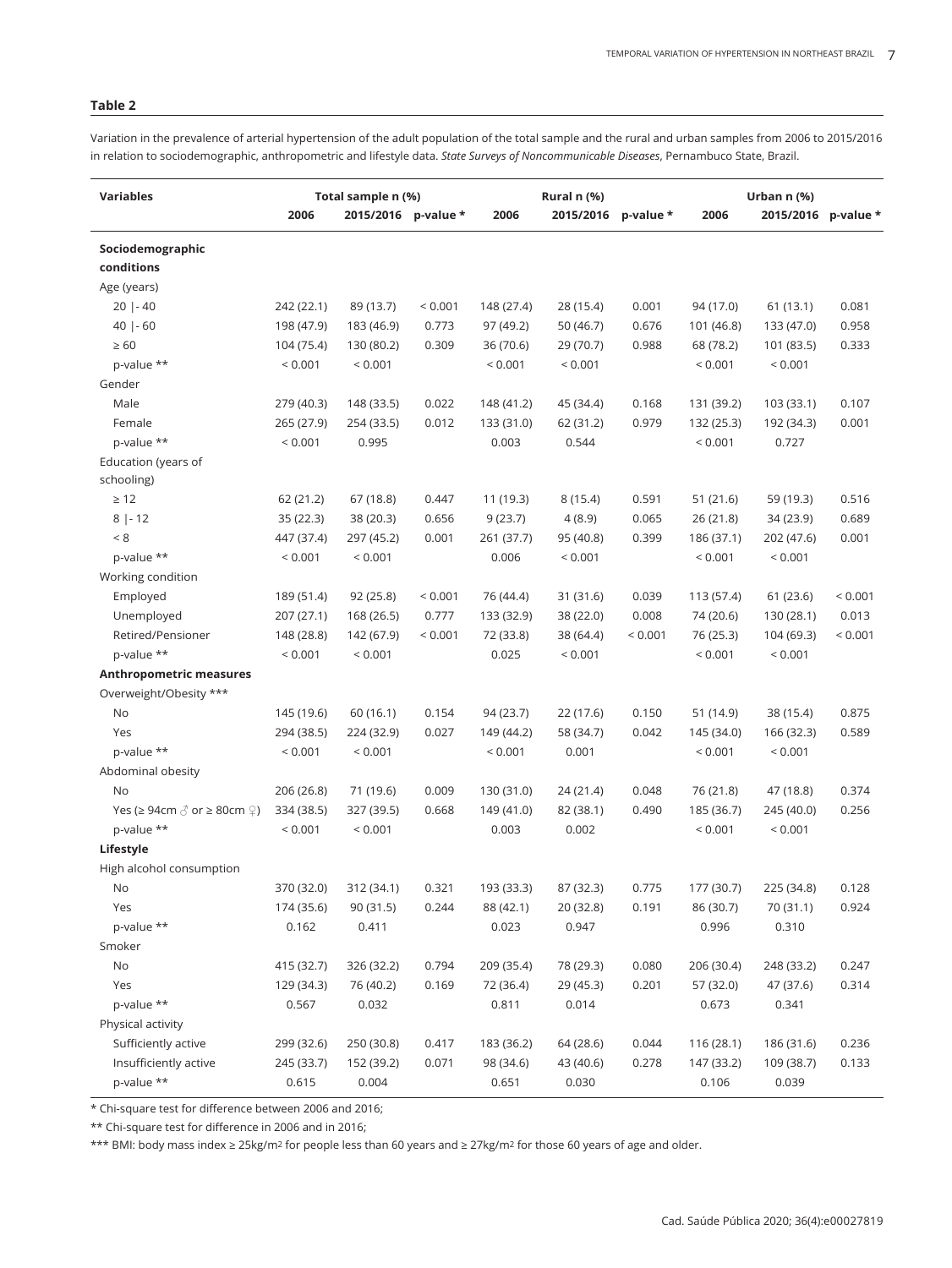## **Table 2**

Variation in the prevalence of arterial hypertension of the adult population of the total sample and the rural and urban samples from 2006 to 2015/2016 in relation to sociodemographic, anthropometric and lifestyle data. *State Surveys of Noncommunicable Diseases*, Pernambuco State, Brazil.

| <b>Variables</b>                                                         | Total sample n (%) |                     |             | Rural n (%) |           |           | Urban n (%) |                     |         |
|--------------------------------------------------------------------------|--------------------|---------------------|-------------|-------------|-----------|-----------|-------------|---------------------|---------|
|                                                                          | 2006               | 2015/2016 p-value * |             | 2006        | 2015/2016 | p-value * | 2006        | 2015/2016 p-value * |         |
| Sociodemographic                                                         |                    |                     |             |             |           |           |             |                     |         |
| conditions                                                               |                    |                     |             |             |           |           |             |                     |         |
| Age (years)                                                              |                    |                     |             |             |           |           |             |                     |         |
| $20$   - 40                                                              | 242 (22.1)         | 89 (13.7)           | < 0.001     | 148 (27.4)  | 28 (15.4) | 0.001     | 94 (17.0)   | 61 (13.1)           | 0.081   |
| $40$   - 60                                                              | 198 (47.9)         | 183 (46.9)          | 0.773       | 97 (49.2)   | 50 (46.7) | 0.676     | 101 (46.8)  | 133 (47.0)          | 0.958   |
| $\geq 60$                                                                | 104 (75.4)         | 130 (80.2)          | 0.309       | 36 (70.6)   | 29 (70.7) | 0.988     | 68 (78.2)   | 101 (83.5)          | 0.333   |
| p-value **                                                               | ${}< 0.001$        | < 0.001             |             | < 0.001     | < 0.001   |           | < 0.001     | < 0.001             |         |
| Gender                                                                   |                    |                     |             |             |           |           |             |                     |         |
| Male                                                                     | 279 (40.3)         | 148 (33.5)          | 0.022       | 148 (41.2)  | 45 (34.4) | 0.168     | 131 (39.2)  | 103 (33.1)          | 0.107   |
| Female                                                                   | 265 (27.9)         | 254 (33.5)          | 0.012       | 133 (31.0)  | 62 (31.2) | 0.979     | 132 (25.3)  | 192 (34.3)          | 0.001   |
| p-value **                                                               | < 0.001            | 0.995               |             | 0.003       | 0.544     |           | < 0.001     | 0.727               |         |
| Education (years of                                                      |                    |                     |             |             |           |           |             |                     |         |
| schooling)                                                               |                    |                     |             |             |           |           |             |                     |         |
| $\geq 12$                                                                | 62 (21.2)          | 67 (18.8)           | 0.447       | 11 (19.3)   | 8(15.4)   | 0.591     | 51 (21.6)   | 59 (19.3)           | 0.516   |
| $8  - 12$                                                                | 35(22.3)           | 38 (20.3)           | 0.656       | 9(23.7)     | 4(8.9)    | 0.065     | 26 (21.8)   | 34 (23.9)           | 0.689   |
| < 8                                                                      | 447 (37.4)         | 297 (45.2)          | 0.001       | 261 (37.7)  | 95 (40.8) | 0.399     | 186 (37.1)  | 202 (47.6)          | 0.001   |
| p-value **                                                               | < 0.001            | < 0.001             |             | 0.006       | < 0.001   |           | < 0.001     | < 0.001             |         |
| Working condition                                                        |                    |                     |             |             |           |           |             |                     |         |
| Employed                                                                 | 189 (51.4)         | 92 (25.8)           | < 0.001     | 76 (44.4)   | 31 (31.6) | 0.039     | 113 (57.4)  | 61(23.6)            | < 0.001 |
| Unemployed                                                               | 207 (27.1)         | 168 (26.5)          | 0.777       | 133 (32.9)  | 38 (22.0) | 0.008     | 74 (20.6)   | 130 (28.1)          | 0.013   |
| Retired/Pensioner                                                        | 148 (28.8)         | 142 (67.9)          | ${}< 0.001$ | 72 (33.8)   | 38 (64.4) | < 0.001   | 76 (25.3)   | 104 (69.3)          | < 0.001 |
| p-value **                                                               | < 0.001            | < 0.001             |             | 0.025       | < 0.001   |           | < 0.001     | < 0.001             |         |
| <b>Anthropometric measures</b>                                           |                    |                     |             |             |           |           |             |                     |         |
| Overweight/Obesity ***                                                   |                    |                     |             |             |           |           |             |                     |         |
| No                                                                       | 145 (19.6)         | 60 (16.1)           | 0.154       | 94 (23.7)   | 22 (17.6) | 0.150     | 51 (14.9)   | 38 (15.4)           | 0.875   |
| Yes                                                                      | 294 (38.5)         | 224 (32.9)          | 0.027       | 149 (44.2)  | 58 (34.7) | 0.042     | 145 (34.0)  | 166 (32.3)          | 0.589   |
| p-value **                                                               | < 0.001            | < 0.001             |             | < 0.001     | 0.001     |           | < 0.001     | < 0.001             |         |
| Abdominal obesity                                                        |                    |                     |             |             |           |           |             |                     |         |
| No                                                                       | 206 (26.8)         | 71 (19.6)           | 0.009       | 130 (31.0)  | 24 (21.4) | 0.048     | 76 (21.8)   | 47 (18.8)           | 0.374   |
| Yes ( $\geq 94$ cm $\textcircled{3}$ or $\geq 80$ cm $\textcircled{2}$ ) | 334 (38.5)         | 327 (39.5)          | 0.668       | 149 (41.0)  | 82 (38.1) | 0.490     | 185 (36.7)  | 245 (40.0)          | 0.256   |
| p-value **                                                               | < 0.001            | < 0.001             |             | 0.003       | 0.002     |           | < 0.001     | < 0.001             |         |
| Lifestyle                                                                |                    |                     |             |             |           |           |             |                     |         |
| High alcohol consumption                                                 |                    |                     |             |             |           |           |             |                     |         |
| No.                                                                      | 370 (32.0)         | 312 (34.1)          | 0.321       | 193 (33.3)  | 87 (32.3) | 0.775     | 177 (30.7)  | 225 (34.8)          | 0.128   |
| Yes                                                                      | 174 (35.6)         | 90 (31.5)           | 0.244       | 88 (42.1)   | 20 (32.8) | 0.191     | 86 (30.7)   | 70 (31.1)           | 0.924   |
| p-value **                                                               | 0.162              | 0.411               |             | 0.023       | 0.947     |           | 0.996       | 0.310               |         |
| Smoker                                                                   |                    |                     |             |             |           |           |             |                     |         |
| No                                                                       |                    |                     | 0.794       |             | 78 (29.3) | 0.080     |             | 248 (33.2)          | 0.247   |
|                                                                          | 415 (32.7)         | 326 (32.2)          |             | 209 (35.4)  |           |           | 206 (30.4)  |                     |         |
| Yes                                                                      | 129 (34.3)         | 76 (40.2)           | 0.169       | 72 (36.4)   | 29 (45.3) | 0.201     | 57 (32.0)   | 47 (37.6)           | 0.314   |
| p-value **                                                               | 0.567              | 0.032               |             | 0.811       | 0.014     |           | 0.673       | 0.341               |         |
| Physical activity                                                        |                    |                     |             |             |           |           |             |                     |         |
| Sufficiently active                                                      | 299 (32.6)         | 250 (30.8)          | 0.417       | 183 (36.2)  | 64 (28.6) | 0.044     | 116(28.1)   | 186 (31.6)          | 0.236   |
| Insufficiently active                                                    | 245 (33.7)         | 152 (39.2)          | 0.071       | 98 (34.6)   | 43 (40.6) | 0.278     | 147 (33.2)  | 109 (38.7)          | 0.133   |
| p-value **                                                               | 0.615              | 0.004               |             | 0.651       | 0.030     |           | 0.106       | 0.039               |         |

\* Chi-square test for difference between 2006 and 2016;

\*\* Chi-square test for difference in 2006 and in 2016;

\*\*\* BMI: body mass index ≥ 25kg/m2 for people less than 60 years and ≥ 27kg/m2 for those 60 years of age and older.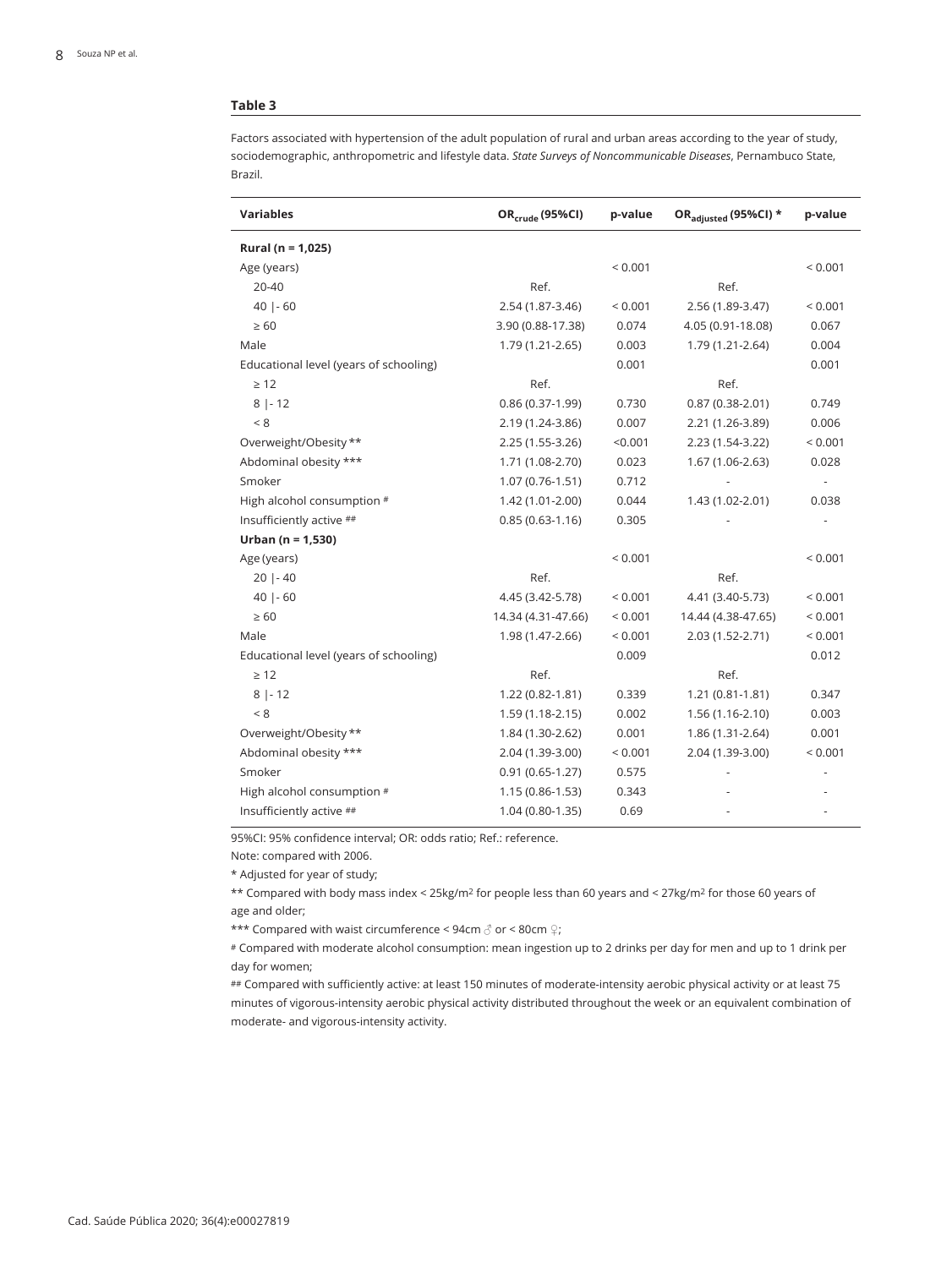## **Table 3**

Factors associated with hypertension of the adult population of rural and urban areas according to the year of study, sociodemographic, anthropometric and lifestyle data. *State Surveys of Noncommunicable Diseases*, Pernambuco State, Brazil.

| <b>Variables</b>                       | OR <sub>crude</sub> (95%CI) | p-value | ORadjusted (95%CI) * | p-value                  |
|----------------------------------------|-----------------------------|---------|----------------------|--------------------------|
| Rural ( $n = 1,025$ )                  |                             |         |                      |                          |
| Age (years)                            |                             | < 0.001 |                      | < 0.001                  |
| 20-40                                  | Ref.                        |         | Ref.                 |                          |
| $40$   - 60                            | 2.54 (1.87-3.46)            | < 0.001 | 2.56 (1.89-3.47)     | ${}< 0.001$              |
| $\geq 60$                              | 3.90 (0.88-17.38)           | 0.074   | 4.05 (0.91-18.08)    | 0.067                    |
| Male                                   | 1.79 (1.21-2.65)            | 0.003   | 1.79 (1.21-2.64)     | 0.004                    |
| Educational level (years of schooling) |                             | 0.001   |                      | 0.001                    |
| $\geq 12$                              | Ref.                        |         | Ref.                 |                          |
| $8 -12$                                | $0.86(0.37-1.99)$           | 0.730   | $0.87(0.38 - 2.01)$  | 0.749                    |
| < 8                                    | 2.19 (1.24-3.86)            | 0.007   | 2.21 (1.26-3.89)     | 0.006                    |
| Overweight/Obesity **                  | 2.25 (1.55-3.26)            | < 0.001 | 2.23 (1.54-3.22)     | ${}< 0.001$              |
| Abdominal obesity ***                  | 1.71 (1.08-2.70)            | 0.023   | 1.67 (1.06-2.63)     | 0.028                    |
| Smoker                                 | $1.07(0.76 - 1.51)$         | 0.712   |                      | $\overline{\phantom{a}}$ |
| High alcohol consumption #             | 1.42 (1.01-2.00)            | 0.044   | 1.43 (1.02-2.01)     | 0.038                    |
| Insufficiently active ##               | $0.85(0.63-1.16)$           | 0.305   |                      |                          |
| Urban ( $n = 1,530$ )                  |                             |         |                      |                          |
| Age (years)                            |                             | < 0.001 |                      | ${}_{0.001}$             |
| $20$   - 40                            | Ref.                        |         | Ref.                 |                          |
| $40$   - 60                            | 4.45 (3.42-5.78)            | < 0.001 | 4.41 (3.40-5.73)     | < 0.001                  |
| $\geq 60$                              | 14.34 (4.31-47.66)          | < 0.001 | 14.44 (4.38-47.65)   | < 0.001                  |
| Male                                   | 1.98 (1.47-2.66)            | < 0.001 | 2.03 (1.52-2.71)     | < 0.001                  |
| Educational level (years of schooling) |                             | 0.009   |                      | 0.012                    |
| $\geq 12$                              | Ref.                        |         | Ref.                 |                          |
| $8 -12$                                | 1.22 (0.82-1.81)            | 0.339   | $1.21(0.81-1.81)$    | 0.347                    |
| < 8                                    | $1.59(1.18-2.15)$           | 0.002   | $1.56(1.16-2.10)$    | 0.003                    |
| Overweight/Obesity **                  | 1.84 (1.30-2.62)            | 0.001   | 1.86 (1.31-2.64)     | 0.001                    |
| Abdominal obesity ***                  | 2.04 (1.39-3.00)            | < 0.001 | 2.04 (1.39-3.00)     | < 0.001                  |
| Smoker                                 | $0.91(0.65-1.27)$           | 0.575   |                      |                          |
| High alcohol consumption #             | $1.15(0.86 - 1.53)$         | 0.343   |                      |                          |
| Insufficiently active ##               | 1.04 (0.80-1.35)            | 0.69    |                      |                          |

95%CI: 95% confidence interval; OR: odds ratio; Ref.: reference.

Note: compared with 2006.

\* Adjusted for year of study;

\*\* Compared with body mass index < 25kg/m2 for people less than 60 years and < 27kg/m2 for those 60 years of age and older;

\*\*\* Compared with waist circumference < 94cm ♂ or < 80cm ♀;

# Compared with moderate alcohol consumption: mean ingestion up to 2 drinks per day for men and up to 1 drink per day for women;

## Compared with sufficiently active: at least 150 minutes of moderate-intensity aerobic physical activity or at least 75 minutes of vigorous-intensity aerobic physical activity distributed throughout the week or an equivalent combination of moderate- and vigorous-intensity activity.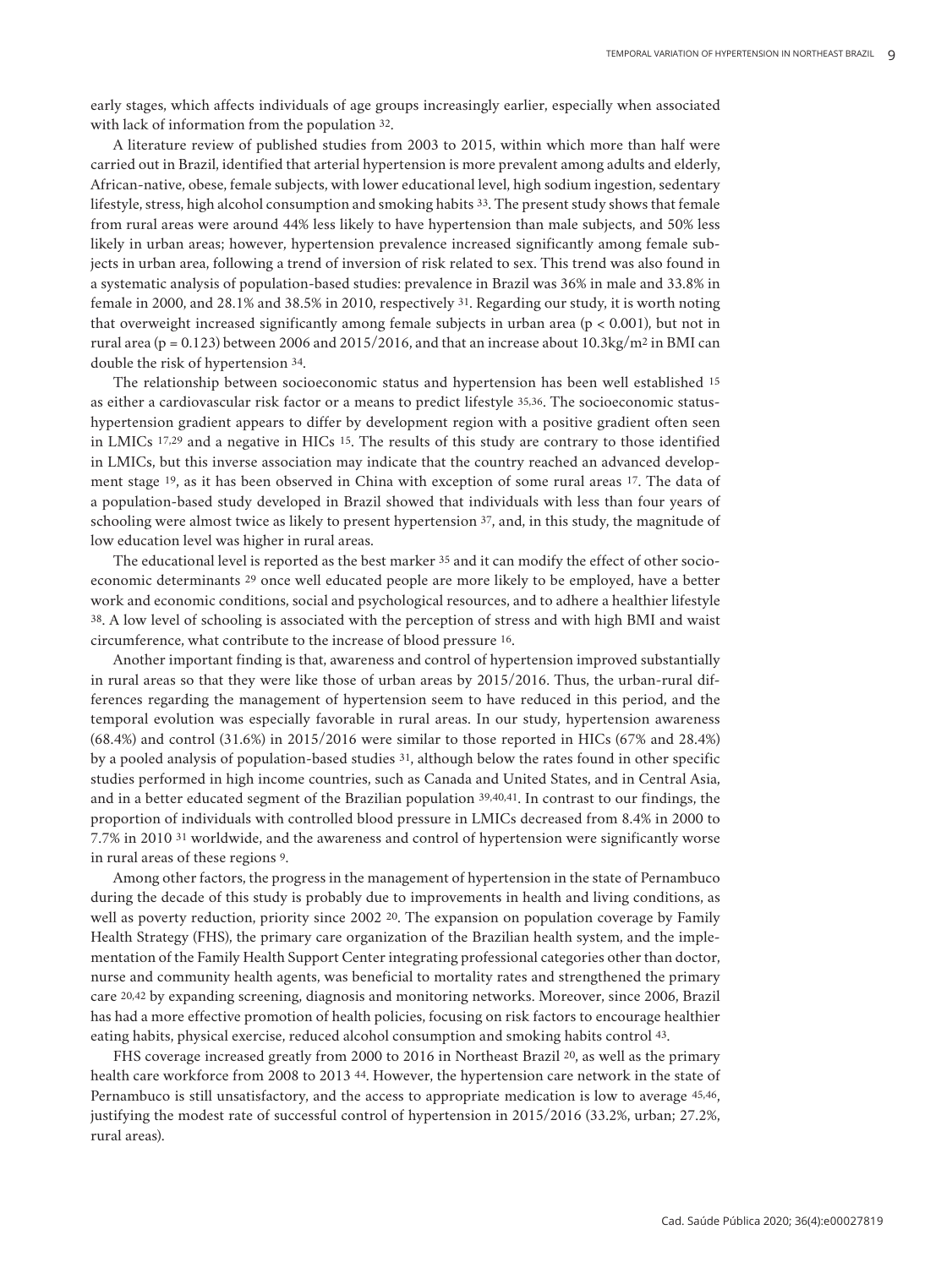early stages, which affects individuals of age groups increasingly earlier, especially when associated with lack of information from the population 32.

A literature review of published studies from 2003 to 2015, within which more than half were carried out in Brazil, identified that arterial hypertension is more prevalent among adults and elderly, African-native, obese, female subjects, with lower educational level, high sodium ingestion, sedentary lifestyle, stress, high alcohol consumption and smoking habits 33. The present study shows that female from rural areas were around 44% less likely to have hypertension than male subjects, and 50% less likely in urban areas; however, hypertension prevalence increased significantly among female subjects in urban area, following a trend of inversion of risk related to sex. This trend was also found in a systematic analysis of population-based studies: prevalence in Brazil was 36% in male and 33.8% in female in 2000, and 28.1% and 38.5% in 2010, respectively 31. Regarding our study, it is worth noting that overweight increased significantly among female subjects in urban area ( $p < 0.001$ ), but not in rural area (p = 0.123) between 2006 and 2015/2016, and that an increase about  $10.3\text{kg/m}^2$  in BMI can double the risk of hypertension 34.

The relationship between socioeconomic status and hypertension has been well established 15 as either a cardiovascular risk factor or a means to predict lifestyle 35,36. The socioeconomic statushypertension gradient appears to differ by development region with a positive gradient often seen in LMICs 17,29 and a negative in HICs 15. The results of this study are contrary to those identified in LMICs, but this inverse association may indicate that the country reached an advanced development stage 19, as it has been observed in China with exception of some rural areas 17. The data of a population-based study developed in Brazil showed that individuals with less than four years of schooling were almost twice as likely to present hypertension 37, and, in this study, the magnitude of low education level was higher in rural areas.

The educational level is reported as the best marker 35 and it can modify the effect of other socioeconomic determinants 29 once well educated people are more likely to be employed, have a better work and economic conditions, social and psychological resources, and to adhere a healthier lifestyle 38. A low level of schooling is associated with the perception of stress and with high BMI and waist circumference, what contribute to the increase of blood pressure 16.

Another important finding is that, awareness and control of hypertension improved substantially in rural areas so that they were like those of urban areas by 2015/2016. Thus, the urban-rural differences regarding the management of hypertension seem to have reduced in this period, and the temporal evolution was especially favorable in rural areas. In our study, hypertension awareness (68.4%) and control (31.6%) in 2015/2016 were similar to those reported in HICs (67% and 28.4%) by a pooled analysis of population-based studies 31, although below the rates found in other specific studies performed in high income countries, such as Canada and United States, and in Central Asia, and in a better educated segment of the Brazilian population 39,40,41. In contrast to our findings, the proportion of individuals with controlled blood pressure in LMICs decreased from 8.4% in 2000 to 7.7% in 2010 31 worldwide, and the awareness and control of hypertension were significantly worse in rural areas of these regions 9.

Among other factors, the progress in the management of hypertension in the state of Pernambuco during the decade of this study is probably due to improvements in health and living conditions, as well as poverty reduction, priority since 2002 <sup>20</sup>. The expansion on population coverage by Family Health Strategy (FHS), the primary care organization of the Brazilian health system, and the implementation of the Family Health Support Center integrating professional categories other than doctor, nurse and community health agents, was beneficial to mortality rates and strengthened the primary care 20,42 by expanding screening, diagnosis and monitoring networks. Moreover, since 2006, Brazil has had a more effective promotion of health policies, focusing on risk factors to encourage healthier eating habits, physical exercise, reduced alcohol consumption and smoking habits control 43.

FHS coverage increased greatly from 2000 to 2016 in Northeast Brazil 20, as well as the primary health care workforce from 2008 to 2013 44. However, the hypertension care network in the state of Pernambuco is still unsatisfactory, and the access to appropriate medication is low to average 45,46, justifying the modest rate of successful control of hypertension in 2015/2016 (33.2%, urban; 27.2%, rural areas).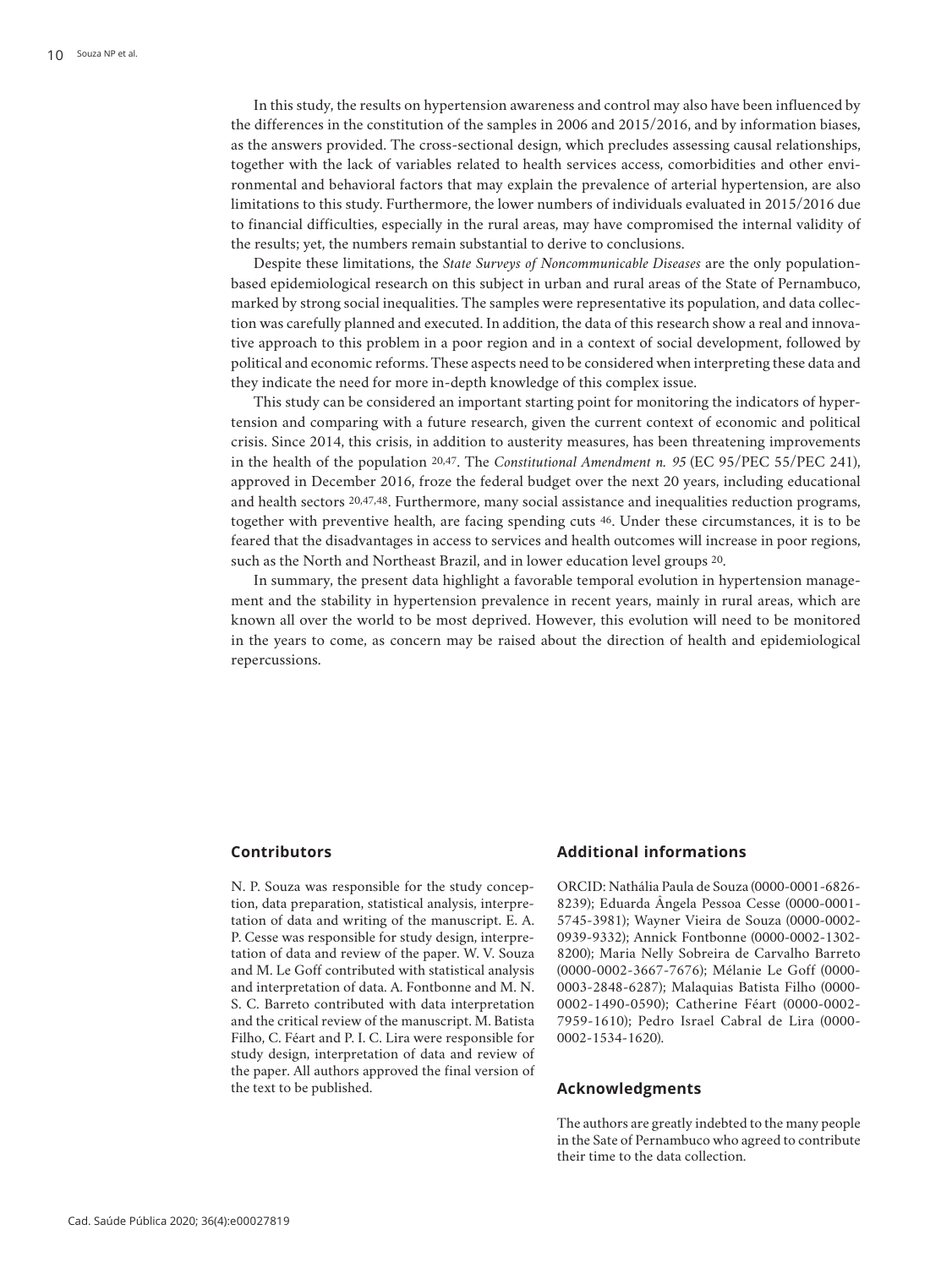In this study, the results on hypertension awareness and control may also have been influenced by the differences in the constitution of the samples in 2006 and 2015/2016, and by information biases, as the answers provided. The cross-sectional design, which precludes assessing causal relationships, together with the lack of variables related to health services access, comorbidities and other environmental and behavioral factors that may explain the prevalence of arterial hypertension, are also limitations to this study. Furthermore, the lower numbers of individuals evaluated in 2015/2016 due to financial difficulties, especially in the rural areas, may have compromised the internal validity of the results; yet, the numbers remain substantial to derive to conclusions.

Despite these limitations, the *State Surveys of Noncommunicable Diseases* are the only populationbased epidemiological research on this subject in urban and rural areas of the State of Pernambuco, marked by strong social inequalities. The samples were representative its population, and data collection was carefully planned and executed. In addition, the data of this research show a real and innovative approach to this problem in a poor region and in a context of social development, followed by political and economic reforms. These aspects need to be considered when interpreting these data and they indicate the need for more in-depth knowledge of this complex issue.

This study can be considered an important starting point for monitoring the indicators of hypertension and comparing with a future research, given the current context of economic and political crisis. Since 2014, this crisis, in addition to austerity measures, has been threatening improvements in the health of the population 20,47. The *Constitutional Amendment n. 95* (EC 95/PEC 55/PEC 241), approved in December 2016, froze the federal budget over the next 20 years, including educational and health sectors 20,47,48. Furthermore, many social assistance and inequalities reduction programs, together with preventive health, are facing spending cuts 46. Under these circumstances, it is to be feared that the disadvantages in access to services and health outcomes will increase in poor regions, such as the North and Northeast Brazil, and in lower education level groups 20.

In summary, the present data highlight a favorable temporal evolution in hypertension management and the stability in hypertension prevalence in recent years, mainly in rural areas, which are known all over the world to be most deprived. However, this evolution will need to be monitored in the years to come, as concern may be raised about the direction of health and epidemiological repercussions.

### **Contributors**

N. P. Souza was responsible for the study conception, data preparation, statistical analysis, interpretation of data and writing of the manuscript. E. A. P. Cesse was responsible for study design, interpretation of data and review of the paper. W. V. Souza and M. Le Goff contributed with statistical analysis and interpretation of data. A. Fontbonne and M. N. S. C. Barreto contributed with data interpretation and the critical review of the manuscript. M. Batista Filho, C. Féart and P. I. C. Lira were responsible for study design, interpretation of data and review of the paper. All authors approved the final version of the text to be published.

## **Additional informations**

ORCID: Nathália Paula de Souza (0000-0001-6826- 8239); Eduarda Ângela Pessoa Cesse (0000-0001- 5745-3981); Wayner Vieira de Souza (0000-0002- 0939-9332); Annick Fontbonne (0000-0002-1302- 8200); Maria Nelly Sobreira de Carvalho Barreto (0000-0002-3667-7676); Mélanie Le Goff (0000- 0003-2848-6287); Malaquias Batista Filho (0000- 0002-1490-0590); Catherine Féart (0000-0002- 7959-1610); Pedro Israel Cabral de Lira (0000- 0002-1534-1620).

## **Acknowledgments**

The authors are greatly indebted to the many people in the Sate of Pernambuco who agreed to contribute their time to the data collection.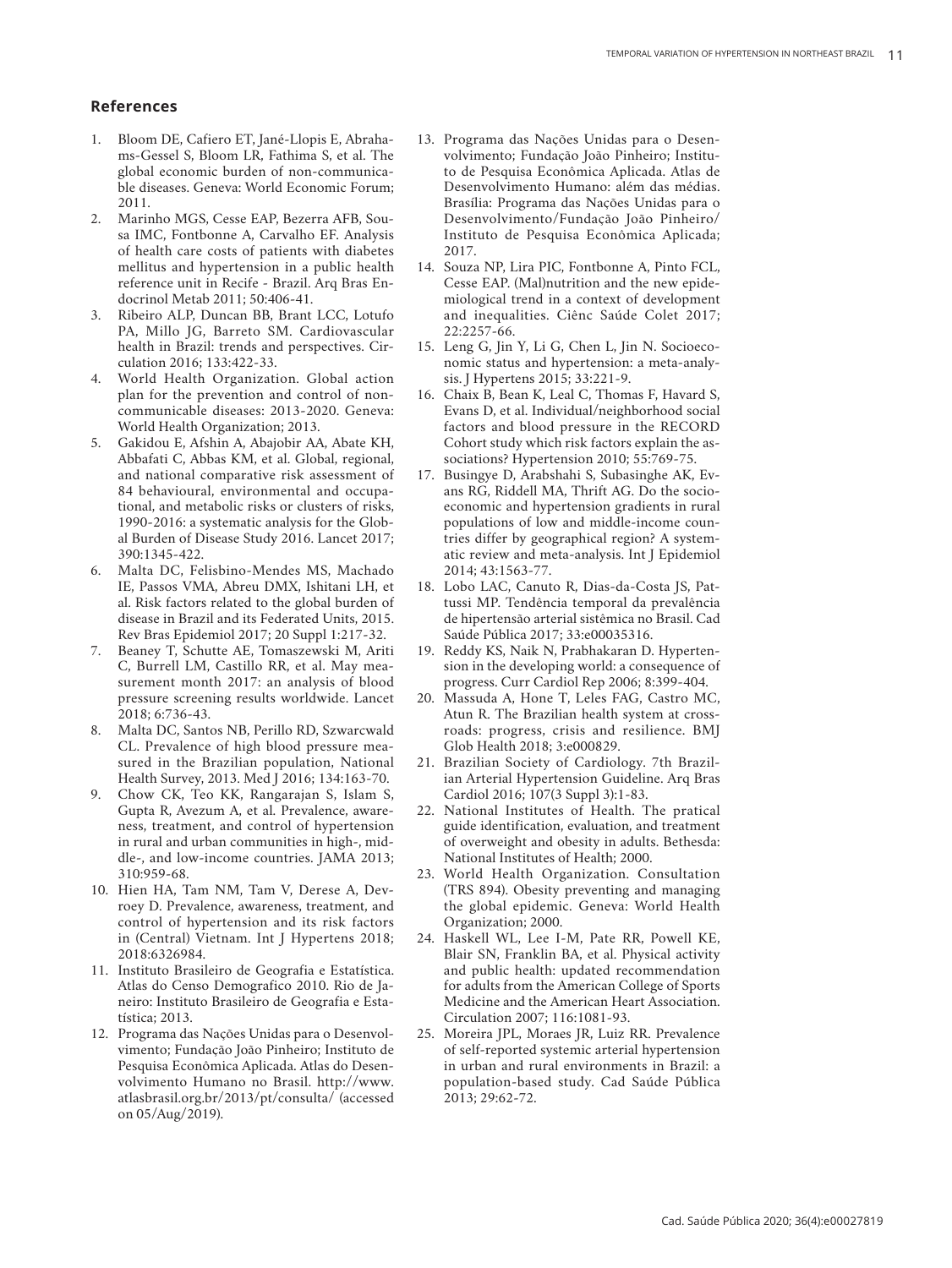## **References**

- 1. Bloom DE, Cafiero ET, Jané-Llopis E, Abraha ms-Gessel S, Bloom LR, Fathima S, et al. The global economic burden of non-communica ble diseases. Geneva: World Economic Forum; 2011.
- 2. Marinho MGS, Cesse EAP, Bezerra AFB, Sou sa IMC, Fontbonne A, Carvalho EF. Analysis of health care costs of patients with diabetes mellitus and hypertension in a public health reference unit in Recife - Brazil. Arq Bras En docrinol Metab 2011; 50:406-41.
- 3. Ribeiro ALP, Duncan BB, Brant LCC, Lotufo PA, Millo JG, Barreto SM. Cardiovascular health in Brazil: trends and perspectives. Cir culation 2016; 133:422-33.
- 4. World Health Organization. Global action plan for the prevention and control of non communicable diseases: 2013-2020. Geneva: World Health Organization; 2013.
- 5. Gakidou E, Afshin A, Abajobir AA, Abate KH, Abbafati C, Abbas KM, et al. Global, regional, and national comparative risk assessment of 84 behavioural, environmental and occupa tional, and metabolic risks or clusters of risks, 1990-2016: a systematic analysis for the Glob al Burden of Disease Study 2016. Lancet 2017; 390:1345-422.
- 6. Malta DC, Felisbino-Mendes MS, Machado IE, Passos VMA, Abreu DMX, Ishitani LH, et al. Risk factors related to the global burden of disease in Brazil and its Federated Units, 2015. Rev Bras Epidemiol 2017; 20 Suppl 1:217-32.
- 7. Beaney T, Schutte AE, Tomaszewski M, Ariti C, Burrell LM, Castillo RR, et al. May mea surement month 2017: an analysis of blood pressure screening results worldwide. Lancet 2018; 6:736-43.
- 8. Malta DC, Santos NB, Perillo RD, Szwarcwald CL. Prevalence of high blood pressure mea sured in the Brazilian population, National Health Survey, 2013. Med J 2016; 134:163-70.
- 9. Chow CK, Teo KK, Rangarajan S, Islam S, Gupta R, Avezum A, et al. Prevalence, aware ness, treatment, and control of hypertension in rural and urban communities in high-, mid dle-, and low-income countries. JAMA 2013; 310:959-68.
- 10. Hien HA, Tam NM, Tam V, Derese A, Dev roey D. Prevalence, awareness, treatment, and control of hypertension and its risk factors in (Central) Vietnam. Int J Hypertens 2018; 2018:6326984.
- 11. Instituto Brasileiro de Geografia e Estatística. Atlas do Censo Demografico 2010. Rio de Ja neiro: Instituto Brasileiro de Geografia e Esta tística; 2013.
- 12. Programa das Nações Unidas para o Desenvol vimento; Fundação João Pinheiro; Instituto de Pesquisa Econômica Aplicada. Atlas do Desen volvimento Humano no Brasil. http://www. atlasbrasil.org.br/2013/pt/consulta/ (accessed on 05/Aug/2019).
- 13. Programa das Nações Unidas para o Desen volvimento; Fundação João Pinheiro; Institu to de Pesquisa Econômica Aplicada. Atlas de Desenvolvimento Humano: além das médias. Brasília: Programa das Nações Unidas para o Desenvolvimento/Fundação João Pinheiro/ Instituto de Pesquisa Econômica Aplicada; 2017.
- 14. Souza NP, Lira PIC, Fontbonne A, Pinto FCL, Cesse EAP. (Mal)nutrition and the new epide miological trend in a context of development and inequalities. Ciênc Saúde Colet 2017; 22:2257-66.
- 15. Leng G, Jin Y, Li G, Chen L, Jin N. Socioeco nomic status and hypertension: a meta-analy sis. J Hypertens 2015; 33:221-9.
- 16. Chaix B, Bean K, Leal C, Thomas F, Havard S, Evans D, et al. Individual/neighborhood social factors and blood pressure in the RECORD Cohort study which risk factors explain the as sociations? Hypertension 2010; 55:769-75.
- 17. Busingye D, Arabshahi S, Subasinghe AK, Ev ans RG, Riddell MA, Thrift AG. Do the socio economic and hypertension gradients in rural populations of low and middle-income coun tries differ by geographical region? A system atic review and meta-analysis. Int J Epidemiol 2014; 43:1563-77.
- 18. Lobo LAC, Canuto R, Dias-da-Costa JS, Pat tussi MP. Tendência temporal da prevalência de hipertensão arterial sistêmica no Brasil. Cad Saúde Pública 2017; 33:e00035316.
- 19. Reddy KS, Naik N, Prabhakaran D. Hyperten sion in the developing world: a consequence of progress. Curr Cardiol Rep 2006; 8:399-404.
- 20. Massuda A, Hone T, Leles FAG, Castro MC, Atun R. The Brazilian health system at cross roads: progress, crisis and resilience. BMJ Glob Health 2018; 3:e000829.
- 21. Brazilian Society of Cardiology. 7th Brazil ian Arterial Hypertension Guideline. Arq Bras Cardiol 2016; 107(3 Suppl 3):1-83.
- 22. National Institutes of Health. The pratical guide identification, evaluation, and treatment of overweight and obesity in adults. Bethesda: National Institutes of Health; 2000.
- 23. World Health Organization. Consultation (TRS 894). Obesity preventing and managing the global epidemic. Geneva: World Health Organization; 2000.
- 24. Haskell WL, Lee I-M, Pate RR, Powell KE, Blair SN, Franklin BA, et al. Physical activity and public health: updated recommendation for adults from the American College of Sports Medicine and the American Heart Association. Circulation 2007; 116:1081-93.
- 25. Moreira JPL, Moraes JR, Luiz RR. Prevalence of self-reported systemic arterial hypertension in urban and rural environments in Brazil: a population-based study. Cad Saúde Pública 2013; 29:62-72.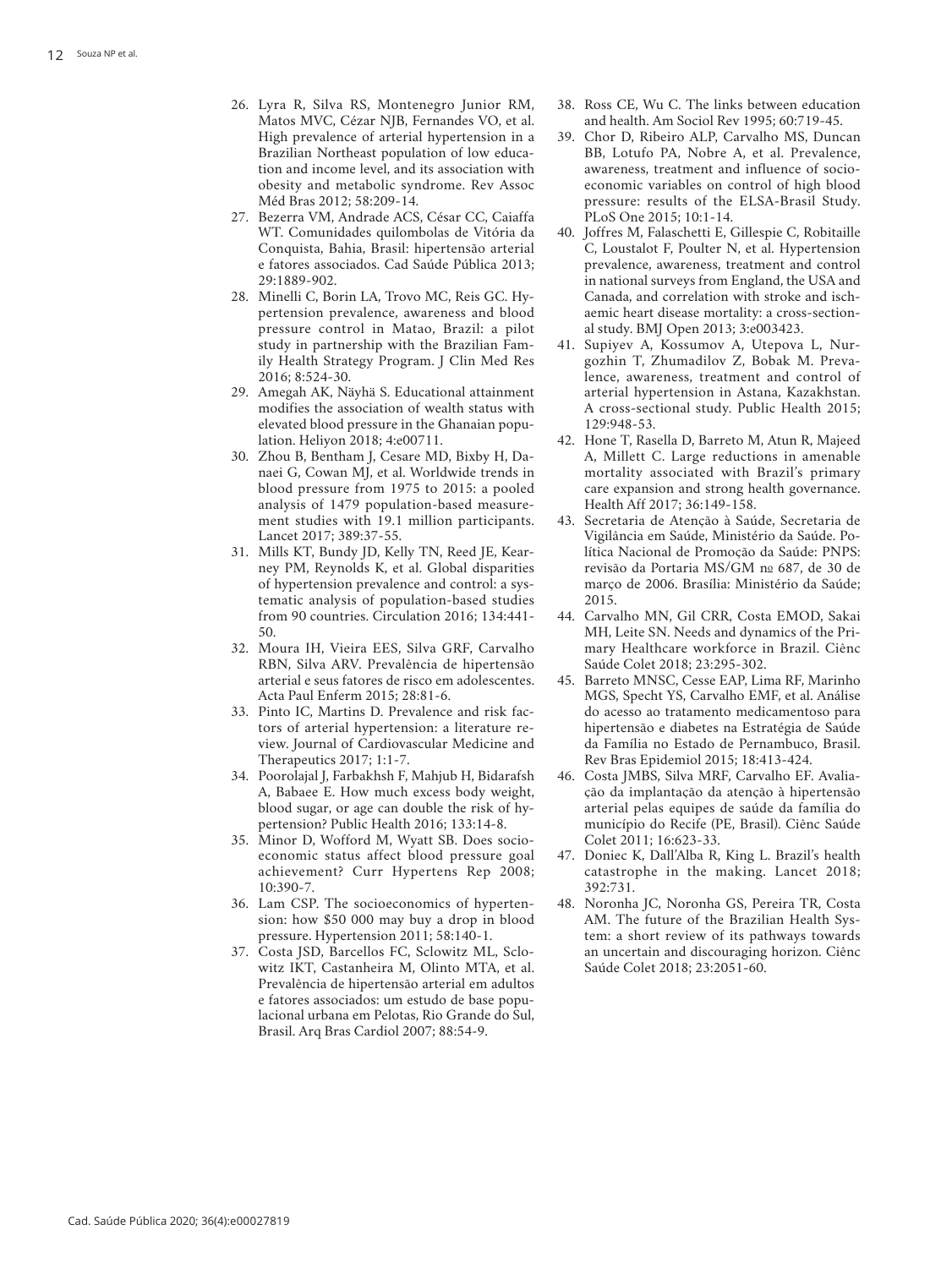- 26. Lyra R, Silva RS, Montenegro Junior RM, Matos MVC, Cézar NJB, Fernandes VO, et al. High prevalence of arterial hypertension in a Brazilian Northeast population of low educa tion and income level, and its association with obesity and metabolic syndrome. Rev Assoc Méd Bras 2012; 58:209-14.
- 27. Bezerra VM, Andrade ACS, César CC, Caiaffa WT. Comunidades quilombolas de Vitória da Conquista, Bahia, Brasil: hipertensão arterial e fatores associados. Cad Saúde Pública 2013; 29:1889-902.
- 28. Minelli C, Borin LA, Trovo MC, Reis GC. Hy pertension prevalence, awareness and blood pressure control in Matao, Brazil: a pilot study in partnership with the Brazilian Fam ily Health Strategy Program. J Clin Med Res 2016; 8:524-30.
- 29. Amegah AK, Näyhä S. Educational attainment modifies the association of wealth status with elevated blood pressure in the Ghanaian popu lation. Heliyon 2018; 4:e00711.
- 30. Zhou B, Bentham J, Cesare MD, Bixby H, Da naei G, Cowan MJ, et al. Worldwide trends in blood pressure from 1975 to 2015: a pooled analysis of 1479 population-based measure ment studies with 19.1 million participants. Lancet 2017; 389:37-55.
- 31. Mills KT, Bundy JD, Kelly TN, Reed JE, Kear ney PM, Reynolds K, et al. Global disparities of hypertension prevalence and control: a sys tematic analysis of population-based studies from 90 countries. Circulation 2016; 134:441- 50.
- 32. Moura IH, Vieira EES, Silva GRF, Carvalho RBN, Silva ARV. Prevalência de hipertensão arterial e seus fatores de risco em adolescentes. Acta Paul Enferm 2015; 28:81-6.
- 33. Pinto IC, Martins D. Prevalence and risk fac tors of arterial hypertension: a literature re view. Journal of Cardiovascular Medicine and Therapeutics 2017; 1:1-7.
- 34. Poorolajal J, Farbakhsh F, Mahjub H, Bidarafsh A, Babaee E. How much excess body weight, blood sugar, or age can double the risk of hy pertension? Public Health 2016; 133:14-8.
- 35. Minor D, Wofford M, Wyatt SB. Does socio economic status affect blood pressure goal achievement? Curr Hypertens Rep 2008; 10:390-7.
- 36. Lam CSP. The socioeconomics of hyperten sion: how \$50 000 may buy a drop in blood pressure. Hypertension 2011; 58:140-1.
- 37. Costa JSD, Barcellos FC, Sclowitz ML, Sclo witz IKT, Castanheira M, Olinto MTA, et al. Prevalência de hipertensão arterial em adultos e fatores associados: um estudo de base popu lacional urbana em Pelotas, Rio Grande do Sul, Brasil. Arq Bras Cardiol 2007; 88:54-9.
- 38. Ross CE, Wu C. The links between education and health. Am Sociol Rev 1995; 60:719-45.
- 39. Chor D, Ribeiro ALP, Carvalho MS, Duncan BB, Lotufo PA, Nobre A, et al. Prevalence, awareness, treatment and influence of socio economic variables on control of high blood pressure: results of the ELSA-Brasil Study. PLoS One 2015; 10:1-14.
- 40. Joffres M, Falaschetti E, Gillespie C, Robitaille C, Loustalot F, Poulter N, et al. Hypertension prevalence, awareness, treatment and control in national surveys from England, the USA and Canada, and correlation with stroke and isch aemic heart disease mortality: a cross-section al study. BMJ Open 2013; 3:e003423.
- 41. Supiyev A, Kossumov A, Utepova L, Nur gozhin T, Zhumadilov Z, Bobak M. Preva lence, awareness, treatment and control of arterial hypertension in Astana, Kazakhstan. A cross-sectional study. Public Health 2015; 129:948-53.
- 42. Hone T, Rasella D, Barreto M, Atun R, Majeed A, Millett C. Large reductions in amenable mortality associated with Brazil's primary care expansion and strong health governance. Health Aff 2017; 36:149-158.
- 43. Secretaria de Atenção à Saúde, Secretaria de Vigilância em Saúde, Ministério da Saúde. Po lítica Nacional de Promoção da Saúde: PNPS: revisão da Portaria MS/GM nº 687, de 30 de março de 2006. Brasília: Ministério da Saúde; 2015.
- 44. Carvalho MN, Gil CRR, Costa EMOD, Sakai MH, Leite SN. Needs and dynamics of the Pri mary Healthcare workforce in Brazil. Ciênc Saúde Colet 2018; 23:295-302.
- 45. Barreto MNSC, Cesse EAP, Lima RF, Marinho MGS, Specht YS, Carvalho EMF, et al. Análise do acesso ao tratamento medicamentoso para hipertensão e diabetes na Estratégia de Saúde da Família no Estado de Pernambuco, Brasil. Rev Bras Epidemiol 2015; 18:413-424.
- 46. Costa JMBS, Silva MRF, Carvalho EF. Avalia ção da implantação da atenção à hipertensão arterial pelas equipes de saúde da família do município do Recife (PE, Brasil). Ciênc Saúde Colet 2011; 16:623-33.
- 47. Doniec K, Dall'Alba R, King L. Brazil's health catastrophe in the making. Lancet 2018; 392:731.
- 48. Noronha JC, Noronha GS, Pereira TR, Costa AM. The future of the Brazilian Health Sys tem: a short review of its pathways towards an uncertain and discouraging horizon. Ciênc Saúde Colet 2018; 23:2051-60.